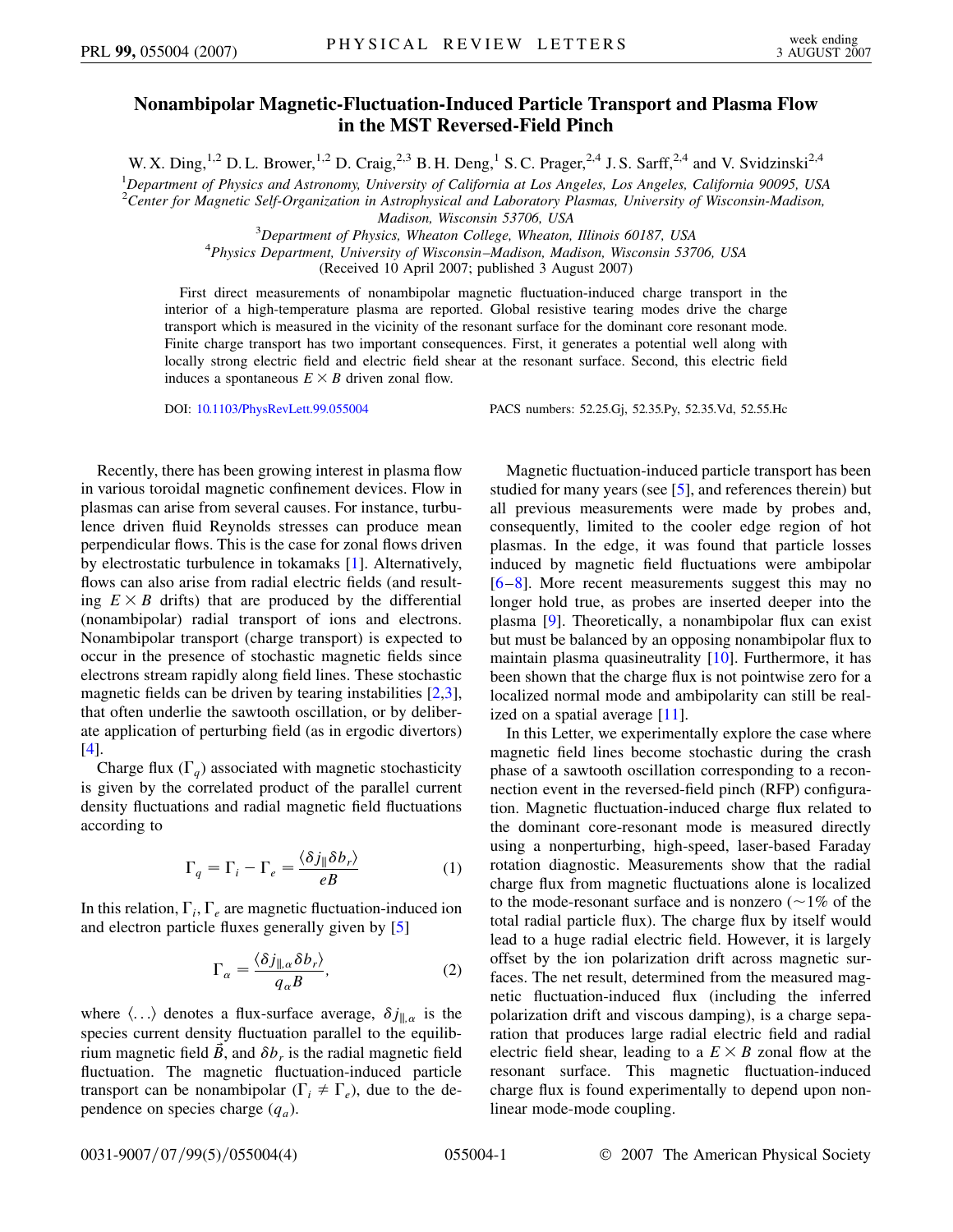## **Nonambipolar Magnetic-Fluctuation-Induced Particle Transport and Plasma Flow in the MST Reversed-Field Pinch**

W. X. Ding,<sup>1,2</sup> D. L. Brower,<sup>1,2</sup> D. Craig,<sup>2,3</sup> B. H. Deng,<sup>1</sup> S. C. Prager,<sup>2,4</sup> J. S. Sarff,<sup>2,4</sup> and V. Svidzinski<sup>2,4</sup>

1 *Department of Physics and Astronomy, University of California at Los Angeles, Los Angeles, California 90095, USA*

2 *Center for Magnetic Self-Organization in Astrophysical and Laboratory Plasmas, University of Wisconsin-Madison,*

*Madison, Wisconsin 53706, USA* <sup>3</sup>

<sup>2</sup> Department of Physics, Wheaton College, Wheaton, Illinois 60187, USA<br><sup>4</sup> Physics Department, University of Wisconsin, Madison, Madison, Wisconsin, 537

*Physics Department, University of Wisconsin–Madison, Madison, Wisconsin 53706, USA*

(Received 10 April 2007; published 3 August 2007)

First direct measurements of nonambipolar magnetic fluctuation-induced charge transport in the interior of a high-temperature plasma are reported. Global resistive tearing modes drive the charge transport which is measured in the vicinity of the resonant surface for the dominant core resonant mode. Finite charge transport has two important consequences. First, it generates a potential well along with locally strong electric field and electric field shear at the resonant surface. Second, this electric field induces a spontaneous  $E \times B$  driven zonal flow.

DOI: [10.1103/PhysRevLett.99.055004](http://dx.doi.org/10.1103/PhysRevLett.99.055004) PACS numbers: 52.25.Gj, 52.35.Py, 52.35.Vd, 52.55.Hc

Recently, there has been growing interest in plasma flow in various toroidal magnetic confinement devices. Flow in plasmas can arise from several causes. For instance, turbulence driven fluid Reynolds stresses can produce mean perpendicular flows. This is the case for zonal flows driven by electrostatic turbulence in tokamaks [\[1\]](#page-3-0). Alternatively, flows can also arise from radial electric fields (and resulting  $E \times B$  drifts) that are produced by the differential (nonambipolar) radial transport of ions and electrons. Nonambipolar transport (charge transport) is expected to occur in the presence of stochastic magnetic fields since electrons stream rapidly along field lines. These stochastic magnetic fields can be driven by tearing instabilities [[2](#page-3-1),[3\]](#page-3-2), that often underlie the sawtooth oscillation, or by deliberate application of perturbing field (as in ergodic divertors) [\[4\]](#page-3-3).

<span id="page-0-0"></span>Charge flux  $(\Gamma_q)$  associated with magnetic stochasticity is given by the correlated product of the parallel current density fluctuations and radial magnetic field fluctuations according to

$$
\Gamma_q = \Gamma_i - \Gamma_e = \frac{\langle \delta j_{\parallel} \delta b_r \rangle}{eB} \tag{1}
$$

In this relation,  $\Gamma_i$ ,  $\Gamma_e$  are magnetic fluctuation-induced ion and electron particle fluxes generally given by [[5\]](#page-3-4)

$$
\Gamma_{\alpha} = \frac{\langle \delta j_{\parallel,\alpha} \delta b_r \rangle}{q_{\alpha} B},\tag{2}
$$

where  $\langle \ldots \rangle$  denotes a flux-surface average,  $\delta j_{\parallel,\alpha}$  is the species current density fluctuation parallel to the equilibrium magnetic field  $\vec{B}$ , and  $\delta b_r$  is the radial magnetic field fluctuation. The magnetic fluctuation-induced particle transport can be nonambipolar  $(\Gamma_i \neq \Gamma_e)$ , due to the dependence on species charge (*qa*).

Magnetic fluctuation-induced particle transport has been studied for many years (see [[5](#page-3-4)], and references therein) but all previous measurements were made by probes and, consequently, limited to the cooler edge region of hot plasmas. In the edge, it was found that particle losses induced by magnetic field fluctuations were ambipolar [\[6](#page-3-5)–[8\]](#page-3-6). More recent measurements suggest this may no longer hold true, as probes are inserted deeper into the plasma [\[9\]](#page-3-7). Theoretically, a nonambipolar flux can exist but must be balanced by an opposing nonambipolar flux to maintain plasma quasineutrality [\[10](#page-3-8)]. Furthermore, it has been shown that the charge flux is not pointwise zero for a localized normal mode and ambipolarity can still be realized on a spatial average [\[11\]](#page-3-9).

In this Letter, we experimentally explore the case where magnetic field lines become stochastic during the crash phase of a sawtooth oscillation corresponding to a reconnection event in the reversed-field pinch (RFP) configuration. Magnetic fluctuation-induced charge flux related to the dominant core-resonant mode is measured directly using a nonperturbing, high-speed, laser-based Faraday rotation diagnostic. Measurements show that the radial charge flux from magnetic fluctuations alone is localized to the mode-resonant surface and is nonzero  $( \sim 1\% )$  of the total radial particle flux). The charge flux by itself would lead to a huge radial electric field. However, it is largely offset by the ion polarization drift across magnetic surfaces. The net result, determined from the measured magnetic fluctuation-induced flux (including the inferred polarization drift and viscous damping), is a charge separation that produces large radial electric field and radial electric field shear, leading to a  $E \times B$  zonal flow at the resonant surface. This magnetic fluctuation-induced charge flux is found experimentally to depend upon nonlinear mode-mode coupling.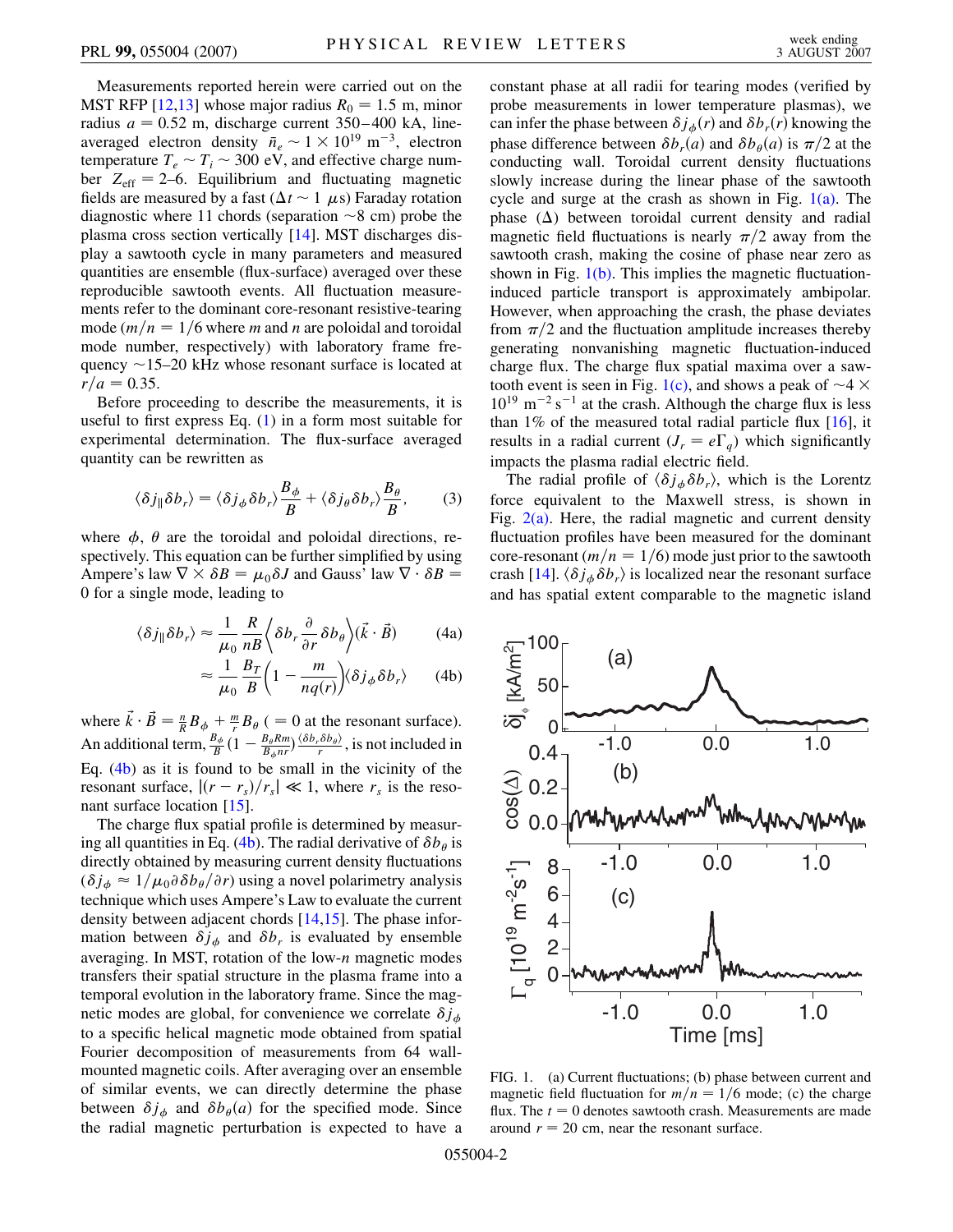Measurements reported herein were carried out on the MST RFP  $[12,13]$  $[12,13]$  whose major radius  $R_0 = 1.5$  m, minor radius  $a = 0.52$  m, discharge current  $350-400$  kA, lineaveraged electron density  $\bar{n}_e \sim 1 \times 10^{19}$  m<sup>-3</sup>, electron temperature  $T_e \sim T_i \sim 300$  eV, and effective charge number  $Z_{\text{eff}} = 2{\text{-}}6$ . Equilibrium and fluctuating magnetic fields are measured by a fast  $(\Delta t \sim 1 \mu s)$  Faraday rotation diagnostic where 11 chords (separation  $\sim$ 8 cm) probe the plasma cross section vertically [\[14\]](#page-3-12). MST discharges display a sawtooth cycle in many parameters and measured quantities are ensemble (flux-surface) averaged over these reproducible sawtooth events. All fluctuation measurements refer to the dominant core-resonant resistive-tearing mode  $(m/n = 1/6$  where *m* and *n* are poloidal and toroidal mode number, respectively) with laboratory frame frequency  $\sim$ 15–20 kHz whose resonant surface is located at  $r/a = 0.35.$ 

Before proceeding to describe the measurements, it is useful to first express Eq.  $(1)$  $(1)$  in a form most suitable for experimental determination. The flux-surface averaged quantity can be rewritten as

$$
\langle \delta j_{\parallel} \delta b_r \rangle = \langle \delta j_{\phi} \delta b_r \rangle \frac{B_{\phi}}{B} + \langle \delta j_{\theta} \delta b_r \rangle \frac{B_{\theta}}{B},\qquad(3)
$$

<span id="page-1-0"></span>where  $\phi$ ,  $\theta$  are the toroidal and poloidal directions, respectively. This equation can be further simplified by using Ampere's law  $\nabla \times \delta B = \mu_0 \delta J$  and Gauss' law  $\nabla \cdot \delta B =$ 0 for a single mode, leading to

$$
\langle \delta j_{\parallel} \delta b_r \rangle \approx \frac{1}{\mu_0} \frac{R}{nB} \left\langle \delta b_r \frac{\partial}{\partial r} \delta b_\theta \right\rangle (\vec{k} \cdot \vec{B}) \tag{4a}
$$

$$
\approx \frac{1}{\mu_0} \frac{B_T}{B} \left( 1 - \frac{m}{nq(r)} \right) \langle \delta j_\phi \delta b_r \rangle \tag{4b}
$$

where  $\vec{k} \cdot \vec{B} = \frac{n}{R} B_{\phi} + \frac{m}{r} B_{\theta}$  (= 0 at the resonant surface). An additional term,  $\frac{B_{\phi}}{B} (1 - \frac{B_{\theta} R m}{B_{\phi} n r}) \frac{\langle \delta b_r \delta b_{\theta} \rangle}{r}$ , is not included in Eq. ([4b](#page-1-0)) as it is found to be small in the vicinity of the resonant surface,  $|(r - r_s)/r_s| \ll 1$ , where  $r_s$  is the reso-nant surface location [[15](#page-3-13)].

The charge flux spatial profile is determined by measur-ing all quantities in Eq. ([4b](#page-1-0)). The radial derivative of  $\delta b_{\theta}$  is directly obtained by measuring current density fluctuations  $(\delta j_{\phi} \approx 1/\mu_0 \partial \delta b_{\theta} / \partial r)$  using a novel polarimetry analysis technique which uses Ampere's Law to evaluate the current density between adjacent chords [[14](#page-3-12)[,15](#page-3-13)]. The phase information between  $\delta j_{\phi}$  and  $\delta b_r$  is evaluated by ensemble averaging. In MST, rotation of the low-*n* magnetic modes transfers their spatial structure in the plasma frame into a temporal evolution in the laboratory frame. Since the magnetic modes are global, for convenience we correlate  $\delta j_{\phi}$ to a specific helical magnetic mode obtained from spatial Fourier decomposition of measurements from 64 wallmounted magnetic coils. After averaging over an ensemble of similar events, we can directly determine the phase between  $\delta j_{\phi}$  and  $\delta b_{\theta}(a)$  for the specified mode. Since the radial magnetic perturbation is expected to have a constant phase at all radii for tearing modes (verified by probe measurements in lower temperature plasmas), we can infer the phase between  $\delta j_{\phi}(r)$  and  $\delta b_{r}(r)$  knowing the phase difference between  $\delta b_r(a)$  and  $\delta b_\theta(a)$  is  $\pi/2$  at the conducting wall. Toroidal current density fluctuations slowly increase during the linear phase of the sawtooth cycle and surge at the crash as shown in Fig.  $1(a)$ . The phase  $(\Delta)$  between toroidal current density and radial magnetic field fluctuations is nearly  $\pi/2$  away from the sawtooth crash, making the cosine of phase near zero as shown in Fig.  $1(b)$ . This implies the magnetic fluctuationinduced particle transport is approximately ambipolar. However, when approaching the crash, the phase deviates from  $\pi/2$  and the fluctuation amplitude increases thereby generating nonvanishing magnetic fluctuation-induced charge flux. The charge flux spatial maxima over a saw-tooth event is seen in Fig. [1\(c\)](#page-1-1), and shows a peak of  $\sim$ 4  $\times$  $10^{19}$  m<sup>-2</sup> s<sup>-1</sup> at the crash. Although the charge flux is less than  $1\%$  of the measured total radial particle flux [\[16\]](#page-3-14), it results in a radial current  $(J_r = e\Gamma_q)$  which significantly impacts the plasma radial electric field.

The radial profile of  $\langle \delta j_{\phi} \delta b_r \rangle$ , which is the Lorentz force equivalent to the Maxwell stress, is shown in Fig.  $2(a)$ . Here, the radial magnetic and current density fluctuation profiles have been measured for the dominant core-resonant ( $m/n = 1/6$ ) mode just prior to the sawtooth crash [\[14\]](#page-3-12).  $\langle \delta j_{\phi} \delta b_{r} \rangle$  is localized near the resonant surface and has spatial extent comparable to the magnetic island



<span id="page-1-1"></span>FIG. 1. (a) Current fluctuations; (b) phase between current and magnetic field fluctuation for  $m/n = 1/6$  mode; (c) the charge flux. The  $t = 0$  denotes sawtooth crash. Measurements are made around  $r = 20$  cm, near the resonant surface.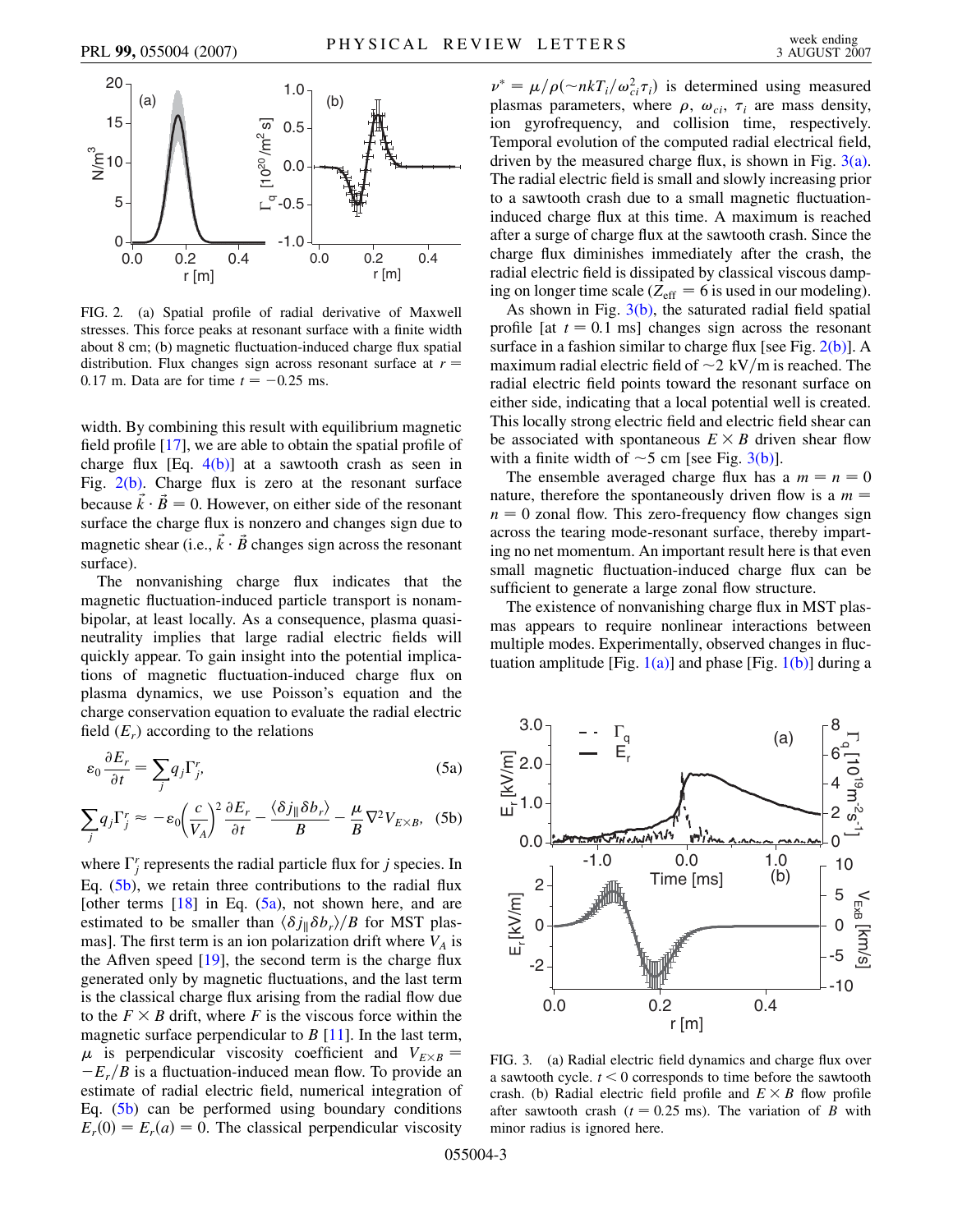

<span id="page-2-0"></span>FIG. 2. (a) Spatial profile of radial derivative of Maxwell stresses. This force peaks at resonant surface with a finite width about 8 cm; (b) magnetic fluctuation-induced charge flux spatial distribution. Flux changes sign across resonant surface at  $r =$ 0.17 m. Data are for time  $t = -0.25$  ms.

width. By combining this result with equilibrium magnetic field profile [\[17\]](#page-3-15), we are able to obtain the spatial profile of charge flux  $[Eq. 4(b)]$  $[Eq. 4(b)]$  at a sawtooth crash as seen in Fig.  $2(b)$ . Charge flux is zero at the resonant surface because  $\vec{k} \cdot \vec{B} = 0$ . However, on either side of the resonant surface the charge flux is nonzero and changes sign due to magnetic shear (i.e.,  $\vec{k} \cdot \vec{B}$  changes sign across the resonant surface).

The nonvanishing charge flux indicates that the magnetic fluctuation-induced particle transport is nonambipolar, at least locally. As a consequence, plasma quasineutrality implies that large radial electric fields will quickly appear. To gain insight into the potential implications of magnetic fluctuation-induced charge flux on plasma dynamics, we use Poisson's equation and the charge conservation equation to evaluate the radial electric field  $(E_r)$  according to the relations

<span id="page-2-1"></span>
$$
\varepsilon_0 \frac{\partial E_r}{\partial t} = \sum_j q_j \Gamma_j^r,\tag{5a}
$$

$$
\sum_{j} q_{j} \Gamma_{j}^{r} \approx -\varepsilon_{0} \left(\frac{c}{V_{A}}\right)^{2} \frac{\partial E_{r}}{\partial t} - \frac{\langle \delta j_{\parallel} \delta b_{r} \rangle}{B} - \frac{\mu}{B} \nabla^{2} V_{E \times B}, \quad (5b)
$$

where  $\Gamma_j^r$  represents the radial particle flux for *j* species. In Eq. ([5b](#page-2-1)), we retain three contributions to the radial flux [other terms  $[18]$  in Eq.  $(5a)$  $(5a)$ , not shown here, and are estimated to be smaller than  $\langle \delta j_{\parallel} \delta b_r \rangle/B$  for MST plasmas]. The first term is an ion polarization drift where  $V_A$  is the Aflven speed  $[19]$  $[19]$  $[19]$ , the second term is the charge flux generated only by magnetic fluctuations, and the last term is the classical charge flux arising from the radial flow due to the  $F \times B$  drift, where *F* is the viscous force within the magnetic surface perpendicular to *B* [\[11\]](#page-3-9). In the last term,  $\mu$  is perpendicular viscosity coefficient and  $V_{E\times B}$  =  $-E_r/B$  is a fluctuation-induced mean flow. To provide an estimate of radial electric field, numerical integration of Eq.  $(5b)$  can be performed using boundary conditions  $E_r(0) = E_r(a) = 0$ . The classical perpendicular viscosity

 $\nu^* = \mu / \rho(\sim n k T_i / \omega_{ci}^2 \tau_i)$  is determined using measured plasmas parameters, where  $\rho$ ,  $\omega_{ci}$ ,  $\tau_i$  are mass density, ion gyrofrequency, and collision time, respectively. Temporal evolution of the computed radial electrical field, driven by the measured charge flux, is shown in Fig. [3\(a\)](#page-2-2). The radial electric field is small and slowly increasing prior to a sawtooth crash due to a small magnetic fluctuationinduced charge flux at this time. A maximum is reached after a surge of charge flux at the sawtooth crash. Since the charge flux diminishes immediately after the crash, the radial electric field is dissipated by classical viscous damping on longer time scale ( $Z_{\text{eff}} = 6$  is used in our modeling).

As shown in Fig.  $3(b)$ , the saturated radial field spatial profile  $\lceil \det t \rceil = 0.1$  ms] changes sign across the resonant surface in a fashion similar to charge flux [see Fig.  $2(b)$ ]. A maximum radial electric field of  $\sim$ 2 kV/m is reached. The radial electric field points toward the resonant surface on either side, indicating that a local potential well is created. This locally strong electric field and electric field shear can be associated with spontaneous  $E \times B$  driven shear flow with a finite width of  $\sim$  5 cm [see Fig. [3\(b\)\]](#page-2-2).

The ensemble averaged charge flux has a  $m = n = 0$ nature, therefore the spontaneously driven flow is a  $m =$  $n = 0$  zonal flow. This zero-frequency flow changes sign across the tearing mode-resonant surface, thereby imparting no net momentum. An important result here is that even small magnetic fluctuation-induced charge flux can be sufficient to generate a large zonal flow structure.

The existence of nonvanishing charge flux in MST plasmas appears to require nonlinear interactions between multiple modes. Experimentally, observed changes in fluctuation amplitude [Fig.  $1(a)$ ] and phase [Fig.  $1(b)$ ] during a



<span id="page-2-2"></span>FIG. 3. (a) Radial electric field dynamics and charge flux over a sawtooth cycle. *t <* 0 corresponds to time before the sawtooth crash. (b) Radial electric field profile and  $E \times B$  flow profile after sawtooth crash ( $t = 0.25$  ms). The variation of *B* with minor radius is ignored here.